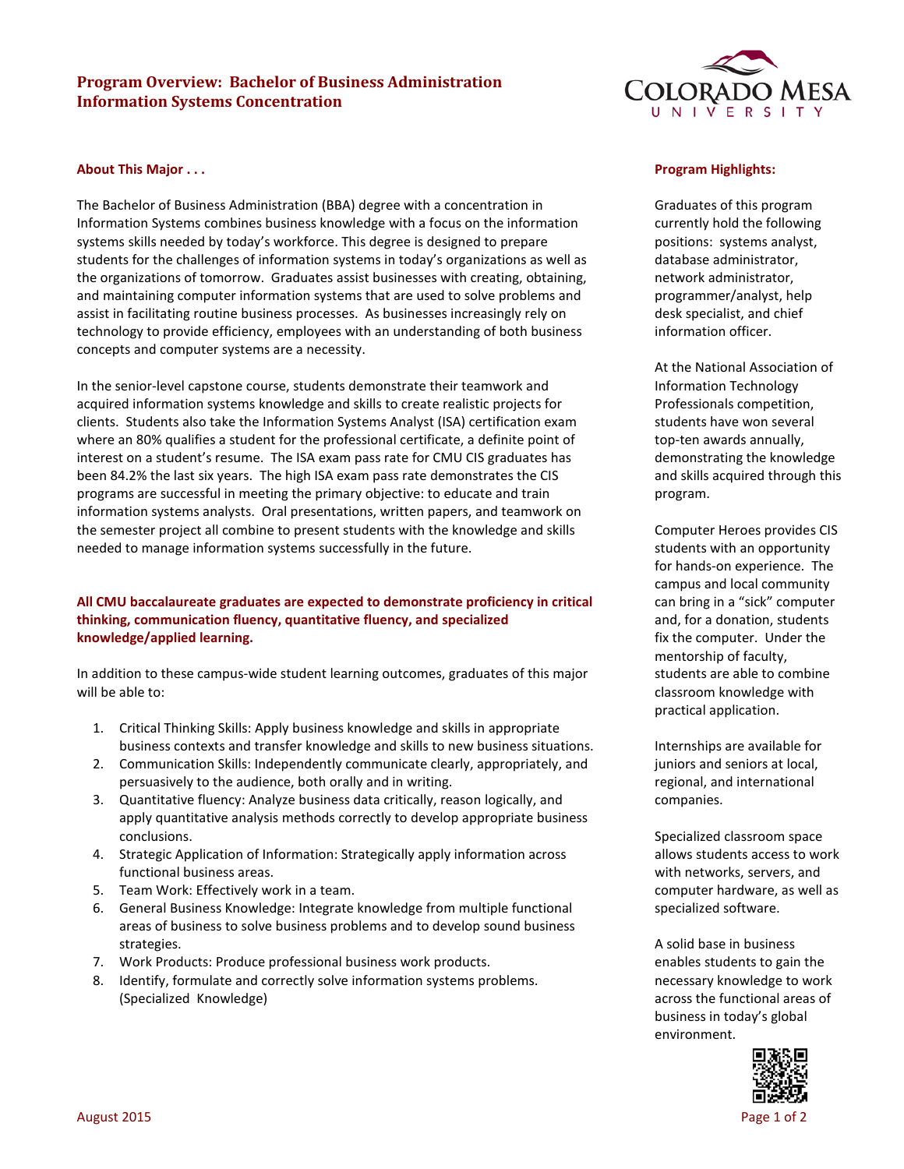# **Program Overview: Bachelor of Business Administration Information Systems Concentration**



#### **About This Major . . .**

The Bachelor of Business Administration (BBA) degree with a concentration in Information Systems combines business knowledge with a focus on the information systems skills needed by today's workforce. This degree is designed to prepare students for the challenges of information systems in today's organizations as well as the organizations of tomorrow. Graduates assist businesses with creating, obtaining, and maintaining computer information systems that are used to solve problems and assist in facilitating routine business processes. As businesses increasingly rely on technology to provide efficiency, employees with an understanding of both business concepts and computer systems are a necessity.

In the senior-level capstone course, students demonstrate their teamwork and acquired information systems knowledge and skills to create realistic projects for clients. Students also take the Information Systems Analyst (ISA) certification exam where an 80% qualifies a student for the professional certificate, a definite point of interest on a student's resume. The ISA exam pass rate for CMU CIS graduates has been 84.2% the last six years. The high ISA exam pass rate demonstrates the CIS programs are successful in meeting the primary objective: to educate and train information systems analysts. Oral presentations, written papers, and teamwork on the semester project all combine to present students with the knowledge and skills needed to manage information systems successfully in the future.

## **All CMU baccalaureate graduates are expected to demonstrate proficiency in critical thinking, communication fluency, quantitative fluency, and specialized knowledge/applied learning.**

In addition to these campus-wide student learning outcomes, graduates of this major will be able to:

- 1. Critical Thinking Skills: Apply business knowledge and skills in appropriate business contexts and transfer knowledge and skills to new business situations.
- 2. Communication Skills: Independently communicate clearly, appropriately, and persuasively to the audience, both orally and in writing.
- 3. Quantitative fluency: Analyze business data critically, reason logically, and apply quantitative analysis methods correctly to develop appropriate business conclusions.
- 4. Strategic Application of Information: Strategically apply information across functional business areas.
- 5. Team Work: Effectively work in a team.
- 6. General Business Knowledge: Integrate knowledge from multiple functional areas of business to solve business problems and to develop sound business strategies.
- 7. Work Products: Produce professional business work products.
- 8. Identify, formulate and correctly solve information systems problems. (Specialized Knowledge)

#### **Program Highlights:**

Graduates of this program currently hold the following positions: systems analyst, database administrator, network administrator, programmer/analyst, help desk specialist, and chief information officer.

At the National Association of Information Technology Professionals competition, students have won several top-ten awards annually, demonstrating the knowledge and skills acquired through this program.

Computer Heroes provides CIS students with an opportunity for hands-on experience. The campus and local community can bring in a "sick" computer and, for a donation, students fix the computer. Under the mentorship of faculty, students are able to combine classroom knowledge with practical application.

Internships are available for juniors and seniors at local, regional, and international companies.

Specialized classroom space allows students access to work with networks, servers, and computer hardware, as well as specialized software.

A solid base in business enables students to gain the necessary knowledge to work across the functional areas of business in today's global environment.